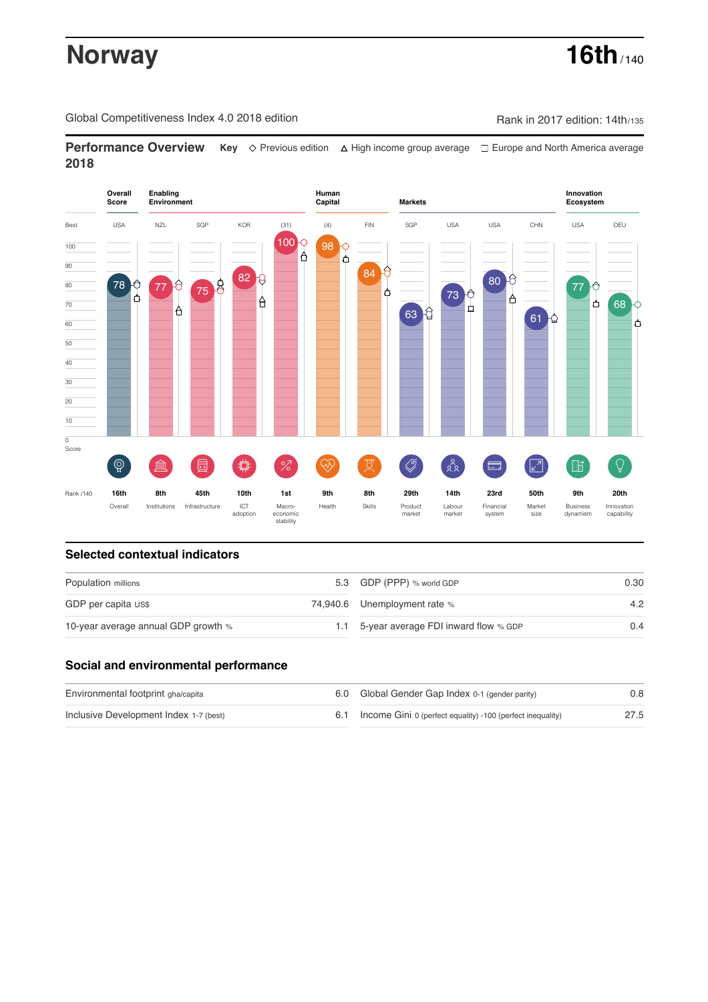# **Norway 16th** / 140

Global Competitiveness Index 4.0 2018 edition Company Rank in 2017 edition: 14th/135

**Performance Overview** Key  $\Diamond$  Previous edition ∆ High income group average  $\Box$  Europe and North America average **2018**



# **Selected contextual indicators**

| Population millions                 |  | 5.3 GDP (PPP) % world GDP            | 0.30 |  |
|-------------------------------------|--|--------------------------------------|------|--|
| GDP per capita US\$                 |  | 74,940.6 Unemployment rate %         | 4.2  |  |
| 10-year average annual GDP growth % |  | 5-year average FDI inward flow % GDP | 0.4  |  |

## **Social and environmental performance**

| Environmental footprint gha/capita     | 6.0 Global Gender Gap Index 0-1 (gender parity)                | 0.8  |
|----------------------------------------|----------------------------------------------------------------|------|
| Inclusive Development Index 1-7 (best) | 6.1 Income Gini 0 (perfect equality) -100 (perfect inequality) | 27.5 |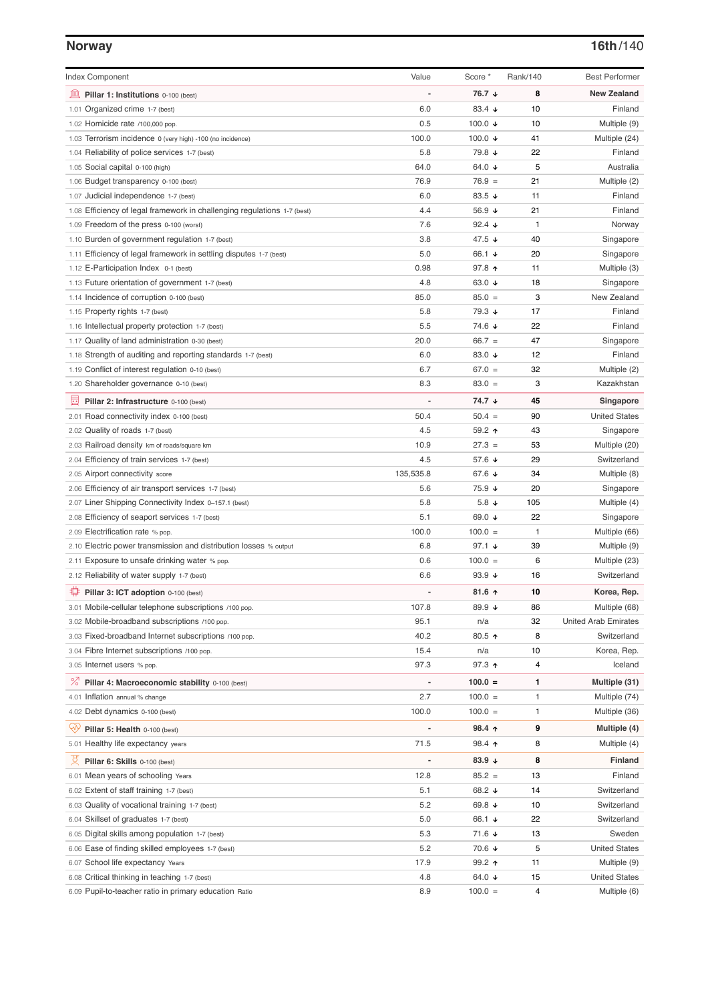| <b>Index Component</b>                                                   | Value                    | Score *            | Rank/140     | <b>Best Performer</b>       |
|--------------------------------------------------------------------------|--------------------------|--------------------|--------------|-----------------------------|
|                                                                          |                          |                    |              |                             |
| 無<br>Pillar 1: Institutions 0-100 (best)                                 |                          | 76.7 ↓             | 8            | <b>New Zealand</b>          |
| 1.01 Organized crime 1-7 (best)                                          | 6.0                      | 83.4 $\sqrt{ }$    | 10           | Finland                     |
| 1.02 Homicide rate /100,000 pop.                                         | 0.5                      | 100.0 $\sqrt{ }$   | 10           | Multiple (9)                |
| 1.03 Terrorism incidence 0 (very high) -100 (no incidence)               | 100.0                    | 100.0 $\downarrow$ | 41           | Multiple (24)               |
| 1.04 Reliability of police services 1-7 (best)                           | 5.8                      | 79.8 ↓             | 22           | Finland                     |
| 1.05 Social capital 0-100 (high)                                         | 64.0                     | 64.0 ↓             | 5            | Australia                   |
| 1.06 Budget transparency 0-100 (best)                                    | 76.9                     | $76.9 =$           | 21           | Multiple (2)                |
| 1.07 Judicial independence 1-7 (best)                                    | 6.0                      | 83.5 $\sqrt{ }$    | 11           | Finland                     |
| 1.08 Efficiency of legal framework in challenging regulations 1-7 (best) | 4.4                      | 56.9 ↓             | 21           | Finland                     |
| 1.09 Freedom of the press 0-100 (worst)                                  | 7.6                      | 92.4 $\sqrt{ }$    | 1            | Norway                      |
| 1.10 Burden of government regulation 1-7 (best)                          | 3.8                      | 47.5 ↓             | 40           | Singapore                   |
| 1.11 Efficiency of legal framework in settling disputes 1-7 (best)       | 5.0                      | 66.1 ↓             | 20           | Singapore                   |
| 1.12 E-Participation Index 0-1 (best)                                    | 0.98                     | 97.8 ↑             | 11           | Multiple (3)                |
| 1.13 Future orientation of government 1-7 (best)                         | 4.8                      | 63.0 $\sqrt{ }$    | 18           | Singapore                   |
| 1.14 Incidence of corruption 0-100 (best)                                | 85.0                     | $85.0 =$           | 3            | New Zealand                 |
| 1.15 Property rights 1-7 (best)                                          | 5.8                      | 79.3 ↓             | 17           | Finland                     |
| 1.16 Intellectual property protection 1-7 (best)                         | 5.5                      | 74.6 ↓             | 22           | Finland                     |
| 1.17 Quality of land administration 0-30 (best)                          | 20.0                     | $66.7 =$           | 47           | Singapore                   |
| 1.18 Strength of auditing and reporting standards 1-7 (best)             | 6.0                      | 83.0 $\sqrt{ }$    | 12           | Finland                     |
| 1.19 Conflict of interest regulation 0-10 (best)                         | 6.7                      | $67.0 =$           | 32           | Multiple (2)                |
| 1.20 Shareholder governance 0-10 (best)                                  | 8.3                      | $83.0 =$           | 3            | Kazakhstan                  |
| 員<br>Pillar 2: Infrastructure 0-100 (best)                               |                          | 74.7 ↓             | 45           | Singapore                   |
| 2.01 Road connectivity index 0-100 (best)                                | 50.4                     | $50.4 =$           | 90           | <b>United States</b>        |
| 2.02 Quality of roads 1-7 (best)                                         | 4.5                      | 59.2 ↑             | 43           | Singapore                   |
| 2.03 Railroad density km of roads/square km                              | 10.9                     | $27.3 =$           | 53           | Multiple (20)               |
| 2.04 Efficiency of train services 1-7 (best)                             | 4.5                      | 57.6 ↓             | 29           | Switzerland                 |
| 2.05 Airport connectivity score                                          | 135,535.8                | 67.6 ↓             | 34           | Multiple (8)                |
| 2.06 Efficiency of air transport services 1-7 (best)                     | 5.6                      | 75.9 ↓             | 20           | Singapore                   |
| 2.07 Liner Shipping Connectivity Index 0-157.1 (best)                    | 5.8                      | 5.8 $\downarrow$   | 105          | Multiple (4)                |
| 2.08 Efficiency of seaport services 1-7 (best)                           | 5.1                      | 69.0 ↓             | 22           | Singapore                   |
| 2.09 Electrification rate % pop.                                         | 100.0                    | $100.0 =$          | $\mathbf{1}$ | Multiple (66)               |
| Electric power transmission and distribution losses % output<br>2.10     | 6.8                      | 97.1 $\sqrt{ }$    | 39           | Multiple (9)                |
| 2.11 Exposure to unsafe drinking water % pop.                            | 0.6                      | $100.0 =$          | 6            | Multiple (23)               |
| 2.12 Reliability of water supply 1-7 (best)                              | 6.6                      | 93.9 $\sqrt{ }$    | 16           | Switzerland                 |
| ₽<br>Pillar 3: ICT adoption 0-100 (best)                                 |                          | 81.6 $\uparrow$    | 10           | Korea, Rep.                 |
| 3.01 Mobile-cellular telephone subscriptions /100 pop.                   | 107.8                    | 89.9 $\sqrt{ }$    | 86           | Multiple (68)               |
| 3.02 Mobile-broadband subscriptions /100 pop.                            | 95.1                     | n/a                | 32           | <b>United Arab Emirates</b> |
| 3.03 Fixed-broadband Internet subscriptions /100 pop.                    | 40.2                     | 80.5 个             | 8            | Switzerland                 |
| 3.04 Fibre Internet subscriptions /100 pop.                              | 15.4                     | n/a                | 10           | Korea, Rep.                 |
| 3.05 Internet users % pop.                                               | 97.3                     | 97.3 ↑             | 4            | Iceland                     |
|                                                                          |                          |                    |              |                             |
| ℅<br>Pillar 4: Macroeconomic stability 0-100 (best)                      | $\overline{\phantom{a}}$ | $100.0 =$          | 1            | Multiple (31)               |
| 4.01 Inflation annual % change                                           | 2.7                      | $100.0 =$          | 1            | Multiple (74)               |
| 4.02 Debt dynamics 0-100 (best)                                          | 100.0                    | $100.0 =$          | 1            | Multiple (36)               |
| ųÿ<br>Pillar 5: Health 0-100 (best)                                      |                          | 98.4 个             | 9            | Multiple (4)                |
| 5.01 Healthy life expectancy years                                       | 71.5                     | 98.4 ↑             | 8            | Multiple (4)                |
| 섯<br>Pillar 6: Skills 0-100 (best)                                       |                          | 83.9 $\sqrt{ }$    | 8            | <b>Finland</b>              |
| 6.01 Mean years of schooling Years                                       | 12.8                     | $85.2 =$           | 13           | Finland                     |
| 6.02 Extent of staff training 1-7 (best)                                 | 5.1                      | 68.2 ↓             | 14           | Switzerland                 |
| 6.03 Quality of vocational training 1-7 (best)                           | 5.2                      | 69.8 ↓             | 10           | Switzerland                 |
| 6.04 Skillset of graduates 1-7 (best)                                    | 5.0                      | 66.1 ↓             | 22           | Switzerland                 |
| 6.05 Digital skills among population 1-7 (best)                          | 5.3                      | 71.6 ↓             | 13           | Sweden                      |
| 6.06 Ease of finding skilled employees 1-7 (best)                        | 5.2                      | 70.6 ↓             | 5            | <b>United States</b>        |
| 6.07 School life expectancy Years                                        | 17.9                     | 99.2 ↑             | 11           | Multiple (9)                |
| 6.08 Critical thinking in teaching 1-7 (best)                            | 4.8                      | 64.0 ↓             | 15           | <b>United States</b>        |
| 6.09 Pupil-to-teacher ratio in primary education Ratio                   | 8.9                      | $100.0 =$          | 4            | Multiple (6)                |